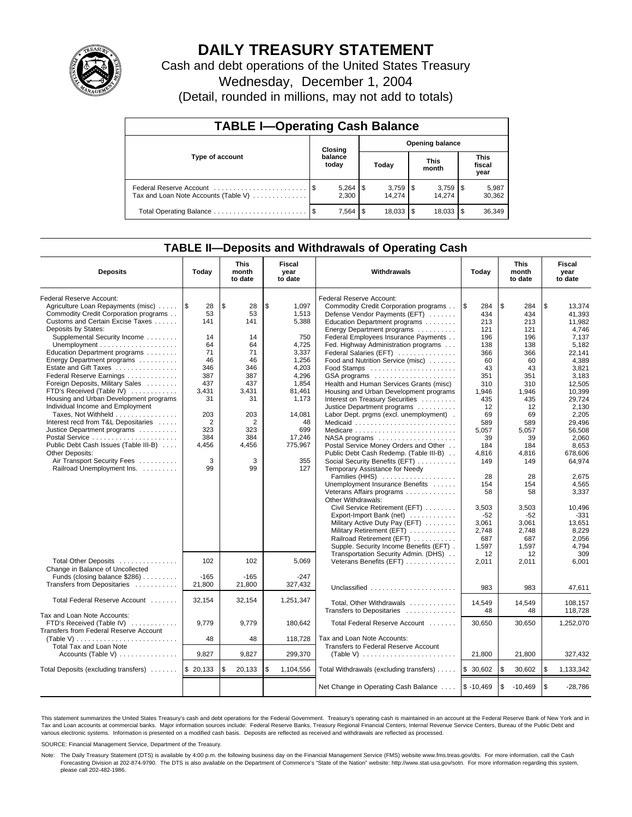

# **DAILY TREASURY STATEMENT**

Cash and debt operations of the United States Treasury

Wednesday, December 1, 2004

(Detail, rounded in millions, may not add to totals)

| <b>TABLE I-Operating Cash Balance</b>                           |  |                  |       |                        |                      |                 |                               |                 |  |  |
|-----------------------------------------------------------------|--|------------------|-------|------------------------|----------------------|-----------------|-------------------------------|-----------------|--|--|
|                                                                 |  | Closing          |       | <b>Opening balance</b> |                      |                 |                               |                 |  |  |
| Type of account                                                 |  | balance<br>today | Today |                        | <b>This</b><br>month |                 | <b>This</b><br>fiscal<br>year |                 |  |  |
| Federal Reserve Account<br>Tax and Loan Note Accounts (Table V) |  | 2.300            |       | 14.274                 |                      | 3,759<br>14.274 | 1\$                           | 5,987<br>30,362 |  |  |
|                                                                 |  | 7,564            | l \$  | $18.033$ $\frac{1}{3}$ |                      | 18,033          |                               | 36,349          |  |  |

### **TABLE II—Deposits and Withdrawals of Operating Cash**

| <b>Deposits</b>                                         | Today          | <b>This</b><br>month<br>to date | Fiscal<br>year<br>to date | Withdrawals                                                  | Today       | <b>This</b><br>month<br>to date | Fiscal<br>year<br>to date |
|---------------------------------------------------------|----------------|---------------------------------|---------------------------|--------------------------------------------------------------|-------------|---------------------------------|---------------------------|
| <b>Federal Reserve Account:</b>                         |                |                                 |                           | Federal Reserve Account:                                     |             |                                 |                           |
| Agriculture Loan Repayments (misc)    \$                | 28             | l \$<br>28                      | 1.097<br>\$               | Commodity Credit Corporation programs                        | \$<br>284   | \$<br>284                       | \$<br>13,374              |
| Commodity Credit Corporation programs                   | 53             | 53                              | 1,513                     | Defense Vendor Payments (EFT)                                | 434         | 434                             | 41,393                    |
| Customs and Certain Excise Taxes                        | 141            | 141                             | 5,388                     | Education Department programs                                | 213         | 213                             | 11,982                    |
| Deposits by States:                                     |                |                                 |                           | Energy Department programs                                   | 121         | 121                             | 4.746                     |
| Supplemental Security Income                            | 14             | 14                              | 750                       | Federal Employees Insurance Payments                         | 196         | 196                             | 7,137                     |
| Unemployment $\dots\dots\dots\dots\dots\dots\dots\dots$ | 64             | 64                              | 4,725                     | Fed. Highway Administration programs                         | 138         | 138                             | 5.182                     |
| Education Department programs                           | 71             | 71                              | 3,337                     | Federal Salaries (EFT)                                       | 366         | 366                             | 22.141                    |
| Energy Department programs                              | 46             | 46                              | 1,256                     | Food and Nutrition Service (misc)                            | 60          | 60                              | 4,389                     |
| Estate and Gift Taxes                                   | 346            | 346                             | 4,203                     |                                                              | 43          | 43                              | 3,821                     |
| Federal Reserve Earnings                                | 387            | 387                             | 4,296                     | GSA programs                                                 | 351         | 351                             | 3,183                     |
| Foreign Deposits, Military Sales                        | 437            | 437                             | 1,854                     | Health and Human Services Grants (misc)                      | 310         | 310                             | 12,505                    |
| FTD's Received (Table IV)                               | 3,431          | 3,431                           | 81,461                    | Housing and Urban Development programs                       | 1,946       | 1,946                           | 10,399                    |
| Housing and Urban Development programs                  | 31             | 31                              | 1,173                     | Interest on Treasury Securities                              | 435         | 435                             | 29.724                    |
| Individual Income and Employment                        |                |                                 |                           | Justice Department programs                                  | 12          | 12                              | 2.130                     |
| Taxes, Not Withheld                                     | 203            | 203                             | 14.081                    | Labor Dept. prgms (excl. unemployment).                      | 69          | 69                              | 2.205                     |
| Interest recd from T&L Depositaries                     | $\overline{2}$ | $\overline{2}$                  | 48                        | Medicaid                                                     | 589         | 589                             | 29.496                    |
| Justice Department programs                             | 323            | 323                             | 699                       | Medicare                                                     | 5,057       | 5,057                           | 56,508                    |
|                                                         | 384            | 384                             | 17,246                    |                                                              | 39          | 39                              | 2.060                     |
| Public Debt Cash Issues (Table III-B)                   | 4,456          | 4,456                           | 775,967                   | Postal Service Money Orders and Other                        | 184         | 184                             | 8.653                     |
| <b>Other Deposits:</b>                                  |                |                                 |                           | Public Debt Cash Redemp. (Table III-B)                       | 4,816       | 4,816                           | 678,606                   |
| Air Transport Security Fees                             | 3              | 3                               | 355                       | Social Security Benefits (EFT)                               | 149         | 149                             | 64,974                    |
| Railroad Unemployment Ins.                              | 99             | 99                              | 127                       | Temporary Assistance for Needy                               |             |                                 |                           |
|                                                         |                |                                 |                           | Families (HHS)                                               | 28          | 28                              | 2.675                     |
|                                                         |                |                                 |                           | Unemployment Insurance Benefits                              | 154         | 154                             | 4,565                     |
|                                                         |                |                                 |                           | Veterans Affairs programs                                    | 58          | 58                              | 3,337                     |
|                                                         |                |                                 |                           | Other Withdrawals:                                           |             |                                 |                           |
|                                                         |                |                                 |                           | Civil Service Retirement (EFT)                               | 3,503       | 3,503                           | 10,496                    |
|                                                         |                |                                 |                           | Export-Import Bank (net)                                     | $-52$       | $-52$                           | $-331$                    |
|                                                         |                |                                 |                           | Military Active Duty Pay (EFT)                               | 3,061       | 3,061                           | 13,651                    |
|                                                         |                |                                 |                           | Military Retirement (EFT)                                    | 2,748       | 2,748                           | 8,229                     |
|                                                         |                |                                 |                           | Railroad Retirement (EFT)                                    | 687         | 687                             | 2.056                     |
|                                                         |                |                                 |                           | Supple. Security Income Benefits (EFT).                      | 1.597       | 1.597                           | 4.794                     |
|                                                         |                |                                 |                           | Transportation Security Admin. (DHS)                         | 12          | 12                              | 309                       |
| Total Other Deposits                                    | 102            | 102                             | 5.069                     | Veterans Benefits (EFT)                                      | 2,011       | 2,011                           | 6.001                     |
| Change in Balance of Uncollected                        |                |                                 |                           |                                                              |             |                                 |                           |
| Funds (closing balance \$286)                           | $-165$         | $-165$                          | $-247$                    |                                                              |             |                                 |                           |
| Transfers from Depositaries                             | 21,800         | 21,800                          | 327,432                   | Unclassified                                                 | 983         | 983                             | 47.611                    |
|                                                         |                |                                 |                           |                                                              |             |                                 |                           |
| Total Federal Reserve Account                           | 32,154         | 32,154                          | 1,251,347                 | Total, Other Withdrawals                                     | 14,549      | 14,549                          | 108.157                   |
|                                                         |                |                                 |                           | Transfers to Depositaries                                    | 48          | 48                              | 118.728                   |
| Tax and Loan Note Accounts:                             |                |                                 |                           |                                                              |             |                                 |                           |
| FTD's Received (Table IV)                               | 9.779          | 9.779                           | 180.642                   | Total Federal Reserve Account                                | 30.650      | 30,650                          | 1,252,070                 |
| Transfers from Federal Reserve Account                  |                |                                 |                           |                                                              |             |                                 |                           |
| (Table V)                                               | 48             | 48                              | 118,728                   | Tax and Loan Note Accounts:                                  |             |                                 |                           |
| Total Tax and Loan Note                                 |                |                                 |                           | Transfers to Federal Reserve Account                         |             |                                 |                           |
| Accounts (Table V)                                      | 9,827          | 9,827                           | 299,370                   | (Table V) $\ldots \ldots \ldots \ldots \ldots \ldots \ldots$ | 21,800      | 21,800                          | 327,432                   |
| Total Deposits (excluding transfers)  \\$ 20,133        |                | \$<br>20,133                    | \$<br>1,104,556           | Total Withdrawals (excluding transfers)                      | \$30,602    | \$<br>30,602                    | l \$<br>1,133,342         |
|                                                         |                |                                 |                           |                                                              |             |                                 |                           |
|                                                         |                |                                 |                           | Net Change in Operating Cash Balance                         | $$ -10,469$ | \$<br>$-10,469$                 | l \$<br>$-28.786$         |

This statement summarizes the United States Treasury's cash and debt operations for the Federal Government. Treasury's operating cash is maintained in an account at the Federal Reserve Bank of New York and in Tax and Loan accounts at commercial banks. Major information sources include: Federal Reserve Banks, Treasury Regional Financial Centers, Internal Revenue Service Centers, Bureau of the Public Debt and<br>various electronic s

SOURCE: Financial Management Service, Department of the Treasury.

Note: The Daily Treasury Statement (DTS) is available by 4:00 p.m. the following business day on the Financial Management Service (FMS) website www.fms.treas.gov/dts. For more information, call the Cash Forecasting Division at 202-874-9790. The DTS is also available on the Department of Commerce's "State of the Nation" website: http://www.stat-usa.gov/sotn. For more information regarding this system, please call 202-482-1986.